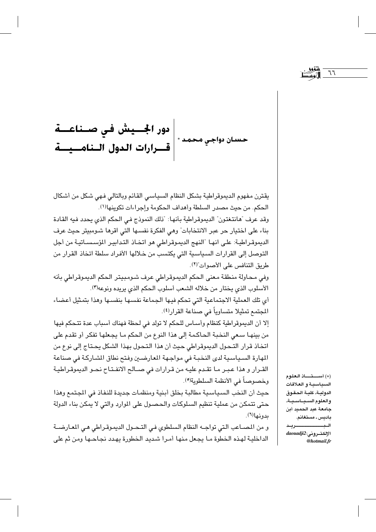دور الجسيش في صـناعـــة |<br>حسان دواجي محمد \* | قـــرارات الـدول الــناهـــيـــة

يقترن مفهوم الديموقراطية بشكل النظام السياسي القائم وبالتالي فهي شكل من أشكال الحكم. من حيث مصدر السلطة وأهداف الحكومة وإجراءات تكوينها(١). وقد عرف "هانتغتون" الديموقراطية بأنها: "ذلك النموذج في الحكم الذي يحدد فيه القادة بناء على اختيار حر عبر الانتخابات" وهي الفكرة نفسـها التي اقرها شـومبيتر حيث عرف الديموقراطية: على انها "النهج الديموقراطي هو اتخـاذ التدابيـر المؤسسـاتيـة من أجل التوصل إلى القرارات السياسية التي يكتسب من خلالها الأفراد سلطة اتخاذ القرار من طريق التنافس على الأصوات"(٢).

وفي محاولة منطقة معنى الحكم الديموقراطي عرف شومبيتر الحكم الديموقراطي بأنه الأسلوب الذي يختار من خلاله الشعب أسلوب الحكم الذي يريده ونوعه'').

أي تك العملية الاجتماعية التي تحكم فيها الجماعة نفسها بنفسها وهذا بتمثيل أعضاء المجتمع تمثيلا متساوياً في صناعة القرار<sup>(٤)</sup>.

إلا أن الديموقراطية كنظام وأساس للحكم لا تولد في لحظة فهناك أسباب عدة تتحكم فيها من بينهـا سـعى النخبـة الـحاكـمـة إلـى هذا النوع من الـحكم مـا يجـعلها تفكر أو تقدم على اتخاذ قرار التحول الديموقراطي حيث أن هذا التحول بهذا الشكل يحتاج إلى نوع من المهارة السياسية لدى النخبة في مواجهة المعارضين وفتح نطاق الشاركة في صناعة القرار و هذا عبر ما تقدم عليه من قرارات في صـالح الانفـتـاح نحـو الديموقراطيـة وخصوصاً في الأنظمة السلطوية<sup>(0</sup>).

حيث أن النخب السياسية مطالبة بخلق أبنية ومنظمات جديدة للنفاذ في المجتمع وهذا حتى تتمكن من عملية تنظيم السلوكات والحصول على الموارد والتي لا يمكن بناء الدولة بدونها(٦).

و من المصـاعب الـتي تواجــه النظام السلطوي فـي التـحــول الديمـوقـراطى هـى المعـارضــة الداخلية لهذه الخطوة مـا يجعل منها أمـرا شـديد الخطورة يهـدد نجـاحـها ومن ثم على

(\*) أستقاذ العلوم السياسية والعلاقات الدولية، كلية الحقوق والعلوم السيساسيية، جامعة عبد الحميد أبن باديس ـ مستغانم.

أأحد سو بسند الالكتروني: daouadji2 **@hotmail.fr**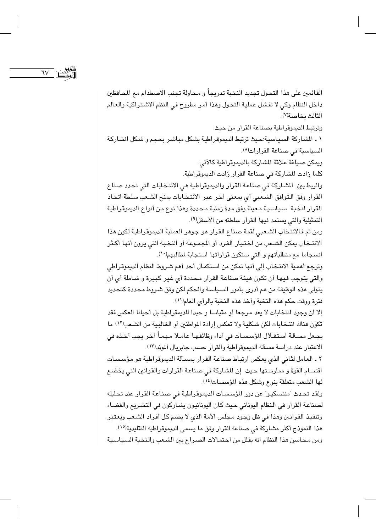$\gamma$ 

القائمين على هذا التحول تجديد النخبة تدريجاً و محاولة تجنب الاصطدام مع المحافظين داخل النظام وكي لا تفشل عملية التحول وهذا أمر مطروح في النظم الاشتراكية والعالم الثالث بخاصة(٧).

وترتبط الديموقراطية بصناعة القرار من حيث: ١ ـ الشـاركة السـياسية:حيث ترتبط الديموقراطية بشكل مبـاشـر بـحجم و شـكل الشـاركة السياسية في صناعة القرارات<sup>(٨)</sup>.

ويمكن صباغة علاقة الشاركة بالديموقراطية كالآتي:

كلما زادت الشاركة في صناعة القرار زادت الديموقراطية.

والربط بين الشاركة في صناعة القرار والديموقراطية هي الانتخابات التي تحدد صناع القرار وفق التوافق الشعبي أي بمعنى أخر عبر الانتخابات يمنح الشعب سلطة اتخاذ القرار لنخبة سياسية معينة وفق مدة زمنية محددة وهذا نوع من أنواع الديموقراطية التمثيلية والتي يستمد فيها القرار سلطته من الأسفل(٩).

ومن ثم فالانتخاب الشعبي لقمة صناع القرار هو جوهر العملية الديموقراطية لكون هذا الانتـخاب يمكن الشـعب من اختـيـار الفـرد أو المجمـوعة أو النخـبـة التي يرون أنها أكـثر انسجاما مع متطلباتهم و التي ستكون قراراتها استجابة لمطالبهم(١٠).

وترجع أهمية الانتخاب إلى أنها تمكن من استكمال أحد أهم شروط النظام الديموقراطي والتي يتوجب فيها أن تكون هيئة صناعة القرار محددة أي غير كبيرة و شاملة أي أن يتولى هذه الوظيفة من هم أدرى بأمور السياسة والحكم لكن وفق شروط محددة كتحديد فترة ووقت حكم هذه النخبة وأخذ هذه النخبة بالرأى العام(١١).

إلا أن وجود انتخابات لا يعد مرجعا أو مقياسا و حيدا للديمقراطية بل أحيانا العكس فقد تكون هناك انتخابات لكن شكلية ولا تعكس إرادة المواطنين أو الغالبية من الشعب(١٢) ما يجـعل مسـألة اسـتقـلال المؤسسـات في أداء وظائفـهـا عـامـلا مـهمـاً أخـر يجب أخـذه في الاعتبار عند دراسة مسألة الديموقراطية والقرار حسب جابريال ألموند(١٣).

٢ ـ العامل لثاني الذي يعكس ارتباط صناعة القرار بمسألة الديموقراطية هو مؤسسات اقتسام القوة و ممارستها حيث إن الشاركة في صناعة القرارات والقوانين التي يخضع لها الشعب متعلقة بنوع وشكل هذه المؤسسات(١٤).

ولقد تحدث "منتسكيـو" عن دور المؤسسـات الديموقراطية في صناعة القرار عند تحليله لصناعة القرار في النظام اليوناني حيث كان اليونانيون يشاركون في التشريع والقضاء وتنفيذ القوانين وهذا في ظل وجود مجلس الأمة الذي لا يضم كل أفراد الشعب ويعتبر هذا النموذج أكثر مشاركة في صناعة القرار وفق ما يسمى الديموقراطية التقليدية(١٥). ومن محاسن هذا النظام انه يقلل من احتمالات الصراع بين الشعب والنخبة السياسية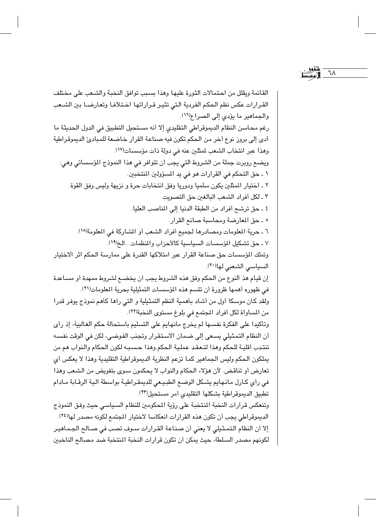القائمة ويقلل من احتمالات الثورة عليها وهذا بسبب توافق النخبة والشعب على مختلف القرارات عكس نظم الحكم الفردية التى تثير قراراتها اختلافا وتعارضا بين الشعب والجماهير ما يؤدى إلى الصراع(١٦). رغم محاسن النظام الديموقراطي التقليدي إلا أنه مستحيل التطبيق في الدول الحديثة ما أدى إلى بروز نوع أخر من الحكم تكون فيه صناعة القرار خاضعة للمبادئ الديموقراطية وهذا عبر انتخاب الشعب لمثلين عنه في دولة ذات مؤسسات(١٧). ويضـع روبرت جملة من الشروط التي يجب أن تتوافر في هذا النموذج المؤسساتي وهي: ١ ـ حق التحكم في القرارات هو في يد المسؤولين المنتخبين. ٢ ـ اختيار المثلين يكون سلميا ودوريا وفق انتخابات حرة و نزيهة وليس وفق القوة. ٣ ـ لكل أفراد الشعب البالغين حق التصويت. ٤ ـ حق ترشح أفراد من الطبقة الدنيا إلى المناصب العليا. ٥ ـ حق المعارضة ومحاسبة صانع القرار. ٦ ـ حرية المعلومات ومصادرها لجميع أفراد الشعب أو الشاركة في المعلومة(١٨). ٧ ـ حق تشكيل المؤسسات السياسية كالأحزاب والمنظمات...الخ(١٩). وتملك المؤسسات حق صناعة القرار عبر امتلاكها القدرة على ممارسة الحكم اثر الاختيار السياسي الشعبي لها(٢٠). إن قيام هذ النوع من الحكم وفق هذه الشروط يجب أن يخضـع لشروط ممهدة أو مسـاعدة في ظهوره أهمها ظرورة أن تتسم هذه المؤسسات التمثيلية بحرية المعلومات(٢١). ولقد كان موسكا أول من أشاد بأهمية النظم التمثيلية و التي رأها كأهم نموذج يوفر قدرا من المساواة لكل أفراد المجتمع في بلوغ مستوى النخبة(٢٢). وتأكيدا على الفكرة نفسها لم يخرج مانهايم على التسليم باستحالة حكم الغالبية، إذ رأى أن النظام التمثيلي يسعى إلى ضمان الاستقرار وتجنب الفوضى، لكن في الوقت نفسه تنتدب أقلية للحكم وهذا لتعقد عملية الحكم وهذا حسبه لكون الحكام والنواب هم من يملكون الحكم وليس الجماهير كما تزعم النظرية الديموقراطية التقليدية وهذا لا يعكس أى تعارض أو تناقض. لآن هؤلاء الحكام والنواب لا يحكمون سـوى بتفويض من الشـعب وهذا في رأى كارل مانهايم يشكل الوضع الطبيعي للديمقراطية بواسطة ألية الرقابة مادام تطبيق الديموقراطية بشكلها التقليدي أمر مستحيل(٢٣). وتنعكس قرارات النخبة المنتخبة على رؤية المكومين للنظام السياسي حيث وفق النموذج الديموقراطي يجب أن تكون هذه القرارات انعكاسا لاختيار المجتمع لكونه مصدر لهالَّ<sup>14</sup>). إلا أن النظام التمثيلي لا يعني أن صناعة القرارات سوف تصب في صـالح الجماهير لكونهم مصدر السلطة، حيث يمكن أن تكون قرارات النخبة المنتخبة ضد مصالح الناخبين

٦٨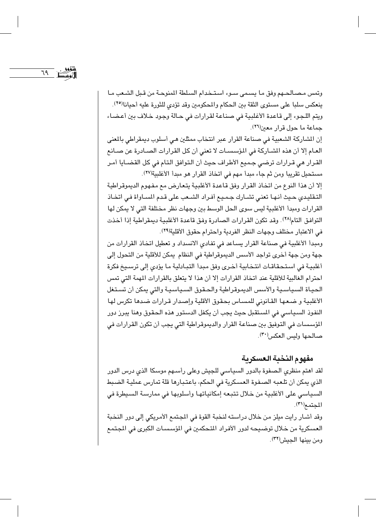$79$   $\sum_{\mu}$ 

وتمس مصالحهم وفق ما يسمى سـوء اسـتـخدام السلطة المنوحـة من قـبل الشـعب مـا ينعكس سلبا على مستوى الثقة بين الحكام والمحكومين وقد تؤدي للثورة عليه أحيانا<sup>(٢٥)</sup>. ويتم اللجوء إلى قاعدة الأغلبية في صناعة لقرارات في حالة وجود خلاف بين أعضاء جماعة ما حول قرار معين(٢٦).

إن المشاركة الشعبية في صناعة القرار عبر انتخاب ممثلين هي أسلوب ديمقراطي بالمعنى العام إلا أن هذه المشاركة في المؤسسات لا تعني أن كل القرارات الصـادرة عن صـانع القرار هي قرارات ترضى جميع الأطراف حيث أن التوافق التام في كل القضـايا أمـر مستحيل تقريبا ومن ثم جاء مبدأ مهم في اتخاذ القرار هو مبدأ الأغلبية(٢٧).

إلا أن هذا النوع من اتخاذ القرار وفق قاعدة الأغلبية يتعارض مع مفهوم الديموقراطية التقليدي حيث أنها تعني تشـارك جـمـيـع أفـراد الشـعب على قـدم المسـاواة فـي اتخـاذ القرارات ومبدأ الأغلبية ليس سوى الحل الوسط بين وجهات نظر مختلفة التي لا يمكن لها التوافق التام(٢٨). وقد تكون القرارات الصادرة وفق قاعدة الأغلبية ديمقراطية إذا أخذت في الاعتبار مختلف وجهات النظر الفريبة واحترام حقوق الأقلية(٢٩).

ومبدأ الأغلبية في صناعة القرار يساعد في تفادي الانسداد و تعطيل اتخاذ القرارات من جهة ومن جهة أخرى تواجد الأسس الديموقراطية في النظام يمكن للأقلية من التحول إلى أغلبية في استحقاقات انتخابية أخرى وفق مبدأ التبادلية ما يؤدي إلى ترسيخ فكرة احترام الغالبية للأقلية عند اتخاذ القرارات إلا أن هذا لا يتعلق بالقرارات المهمة التي تمس الحياة السياسية والأسس الديموقراطية والحقوق السياسية والتى يمكن أن تستغل الأغلبية و ضعها القانوني للمساس بحقوق الأقلية وإصدار قرارات ضدها تكرس لها النفوذ السياسي في المستقبل حيث يجب أن يكفل الدستور هذه الحقوق وهنا يبرز دور المؤسسات في التوفيق بين صناعة القرار والديموقراطية التي يجب أن تكون القرارات في صالحها وليس العكس"(٣٠).

## مفهوم النخبة العسكرية

لقد اهتم منظرى الصفوة بالدور السياسى للجيش وعلى رأسهم موسكا الذي درس الدور الذي يمكن أن تلعبه الصفوة العسكرية في الحكم، باعتبارها قلة تمارس عملية الضبط السياسي على الأغلبية من خلال تتبعه إمكانياتها وأسلوبها في ممارسة السيطرة في المحتمع(٣١).

وقد أشـار رايت ميلز مـن خلال دراسته لنخبة القوة في المجتمع الأمريكي إلى دور النخبة العسكرية من خلال توضيحه لدور الأفراد المتحكمين في المؤسسات الكبرى في المجتمع ومن بينها الجيش(٣٢).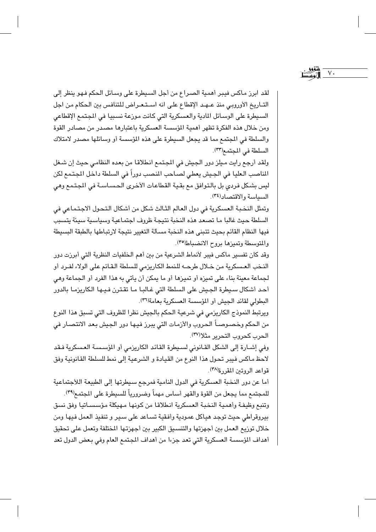لقد ابرز ماكس فيبر أهمية الصراع من أجل السيطرة على وسائل الحكم فهو ينظر إلى التـاريخ الأوروبي منذ عـهـد الإقطاع على انه اسـتـعـراض للتنافس بين الحكام من اجل السيطرة على الوسائل المادية والعسكرية التي كانت موزعة نسبيا في المجتمع الإقطاعي ومن خلال هذه الفكرة تظهر أهمية المؤسسة العسكرية باعتبارها مصدر من مصادر القوة والسلطة في المجتمع مما قد يجعل السيطرة على هذه المؤسسة أو وسائلها مصدر لامتلاك السلطة في المحتمع(٣٣).

 $\vee$ .

ولقد أرجع رايت ميلز دور الجيش في المجتمع انطلاقا من بعده النظامي حيث إن شغل المناصب العليا في الجيش يعطي لصـاحب المنصب دوراً في السلطة داخل المجتمع لكن ليس بشكل فردي بل بالتوافق مع بقية القطاعات الأخرى الحساسة في المجتمع وهي السياسة والاقتصاد (٣٤).

وتمثل النخبة العسكرية في دول العالم الثالث شكل من أشكال التحول الاجتماعي في السلطة حيث غالبا ما تصعد هذه النخبة نتيجة ظروف اجتماعية وسياسية سيئة يتسبب فيها النظام القائم بحيث تتبنى هذه النخبة مسألة التغيير نتيجة لارتباطها بالطبقة البسيطة والمتوسطة وتميزها بروح الانضباط(٣٥).

وقد كان تفسير ماكس فيبر لأنماط الشرعية من بين أهم الخلفيات النظرية التي أبرزت دور النخب العسكرية من خلال طرحـــه للنمط الكاريزمي للسلطة القـائم على الولاء لفـرد أو لجماعة معينة بناء على تميزه أو تميزها أو ما يمكن أن يأتي به هذا الفرد أو الجماعة وهي أحد أشكال سيطرة الجيش على السلطة التي غـالبـا مـا تقـترن فـيـها الكاريزمـا بالدور البطولي لقائد الجيش أو المؤسسة العسكرية بعامة(٣٦).

ويرتبط النموذج الكاريزمي في شرعية الحكم بالجيش نظرا للظروف التي تسبق هذا النوع من الحكم وخصـوصــاً الـحروب والأزمـات التي يبرز فيـها دور الـجيش بـعد الانتصـار في الحرب كحروب التحرير مثلا(٣٧).

وفي إشـارة إلى الشكل القـانوني لسـيطرة القـائد الكاريزمي أو المؤسسة العسكرية فـقد لاحظ ماكس فيبر تحول هذا النوع من القيادة و الشرعية إلى نمط للسلطة القانونية وفق قواعد الروتين المقررة(٣٨).

أما عن دور النخبة العسكرية في الدول النامية فمرجع سيطرتها إلى الطبيعة اللأجتماعية للمجتمع مما يجعل من القوة والقهر أساس مهماً وضرورياً للسيطرة على الجتمع(٣٩). وتنبع وظيفة وأهمية النخية العسكرية انطلاقا من كونها مهيكلة مؤسسياتيا وفق نسق بيروقراطي حيث توجد هياكل عمودية وأفقية تساعد على سير و تنفيذ العمل فيها ومن خلال توريع العمل بين أجهزتها والتنسيق الكبير بين أجهزتها المختلفة وتعمل على تحقيق أهداف المؤسسة العسكرية التي تعد جزءا من أهداف المجتمع العام وفي بعض الدول تعد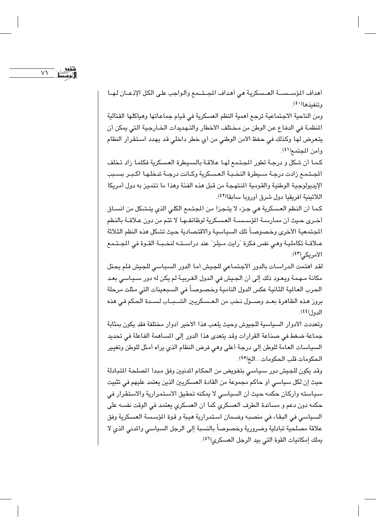$\vee$ 

أهداف المؤسســة العــسكرية هي أهداف المجــتــمع والـواجب علـى الكل الإذعــان لـهــا وتنفيذها(٤٠).

ومن الناحية الاجتماعية ترجع أهمية النظم العسكرية في قيام جماعاتها وهياكلها القتالية المنظمـة في الدفـاع عن الوطن من مـخـتلف الأخطار والتـهديدات الـخـارجـيـة الـتي يمكن أن يتعرض لها وكذلك في حفظ الأمن الوطني من أي خطر داخلي قد يهدد استقرار النظام وأمن المحتمع(٤١).

كمـا أن شكل و درجـة تطور المجـتـمـع لهـا عـلاقـة بالسبيطرة العسكرية فكلمـا زاد تـخلف الجتمع زادت درجة سيطرة النخبة العسكرية وكـانت درجـة تدخلها اكـبـر بسـبب الإيديولوجية الوطنية والقومية المنتهجة من قبل هذه الفئة وهذا ما تتميز به دول أمريكا اللاتينية أفريقيا دول شرق أوروبا سابقا (٤٢).

كما أن النظم العسكرية هي جزء لا يتجزأ من الجتمع الكلي الذي يتشكل من انساق أخـرى حـيث أن ممارســة المؤســســة العسـكرية لوظائفــهـا لا تتم من دون عـلاقــة بالنظم المجتمعية الأخرى وخصوصاً تلك السياسية والاقتصادية حيث تشكل هذه النظم الثلاثة عـلاقــة تكامليـة وهـى نفس فكرة "رايت مـيلز" عند دراسـتـه لنخـبـة القـوة فى المجـتـمـع الأمريكي(٤٣).

لقد اهتمت الدراسات بالدور الاجتماعى للجيش أما الدور السياسى للجيش فلم يحتل مكانة مـهمة ويعـود ذلك إلى أن الجـيش فى الدول الغـربيـة لم يكن له دور سـيـاسـى بعـد الحرب العالية الثانية عكس الدول النامية وخصوصاً في السبعينات التي مثلت مرحلة بروز هذه الظاهرة بعـد وصــول نـخب من الـعـسكريـين الشــبــاب لســدة الـحكم فـي هذه الدول(٤٤).

وتعددت الأدوار السياسية للجيوش وحيث يلعب هذا الأخير أدوار مختلفة فقد يكون بمثابة جماعة ضغط في صناعة القرارات وقد يتعدى هذا الدور إلى المساهمة الفاعلة في تحديد السياسات العامة للوطن إلى درجة أعلى وهي فرض النظام الذي يراه أمثل للوطن وتغيير الحكومات قلب الحكومات...الخ<sup>(٤٥)</sup>.

وقد يكون للجيش دور سياسي بتفويض من الحكام الدنيين وفق مبدأ المصلحة المتبادلة حيث إن لكل سياسي أو حاكم مجموعة من القادة العسكريين الذين يعتمد عليهم في تثبيت سياسته وأركان حكمه حيث أن السياسي لا يمكنه تحقيق الاستمرارية والاستقرار في حكمه دون دعم و مساندة الطرف العسكري كما أن العسكري يعتمد في الوقت نفسه على السياسي في البقاء في منصبه وضمان استمرارية هيبة و قوة المؤسسة العسكرية وفق علاقة مصلحية تبادلية وضرورية وخصوصاً بالنسبة إلى الرجل السياسي والمدني الذي لا يملك إمكانيات القوة التي بيد الرجل العسكري<sup>(٤٦)</sup>.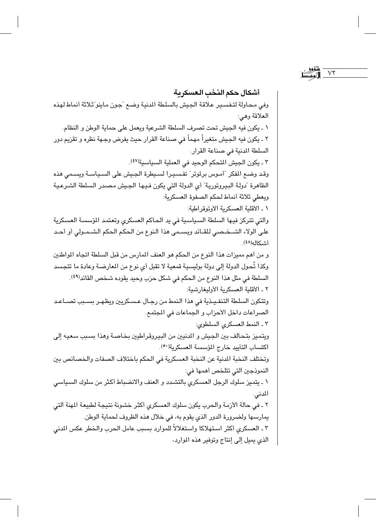$V\Upsilon$ 

أشكال حكم النخب العسكرية وفي محاولة لتفسير علاقة الجيش بالسلطة الدنية وضع "جون ماينو"ثلاثة أنماط لهذه العلاقة وهي: ١ ـ يكون فيه الجيش تحت تصرف السلطة الشرعية ويعمل على حماية الوطن و النظام. ٢ ـ يكون فيه الجيش متغيراً مهماً في صناعة القرار حيث يفرض وجـهة نظره و تقزيم دور السلطة المدنية في صناعة القرار. ٣ ـ يكون الجيش المتحكم الوحيد في العملية السياسية(٤٧). وقد وضع المفكر "أموس برلموتر" تفسيرا لسيطرة الجيش على السياسة ويسمى هذه الظاهرة "دولة البيروتورية" أي الدولة التي يكون فيها الجيش مصدر السلطة الشرعية ويعطى ثلاثة أنماط لحكم الصفوة العسكرية: ١ ـ الأقلية العسكرية الأوتوقر اطية: والتي تتركز فيها السلطة السياسية في يد الحاكم العسكري وتعتمد المؤسسة العسكرية على الولاء الشــخـصـي للقــائد ويســمي هذا الـنوع من الـحكم الـحكم الشــمــولي أو أحــد أشكاله(٤٨). و من أهم مميزات هذا النوع من الحكم هو العنف المارس من قبل السلطة اتجاه المواطنين وكذا تُحول الدولة إلى دولة بوليسية قمعية لا تقبل أي نوع من المعارضـة وعادة ما تتجسد السلطة في مثل هذا النوع من الحكم في شكل حزب وحيد يقوده شخص القائد<sup>(٤٩)</sup>. ٢ ـ الأقلية العسكرية الأوليغارشية: وتتكون السلطة التنفيذية فى هذا النمط من رجال عسكريين ويظهـر بسـبب تصـاعـد الصراعات داخل الأحزاب و الجماعات في المجتمع. ٣ ـ النمط العسكرى السلطوى: ويتميز بتحالف بين الجيش و المنيين من البيروقراطيين بخاصة وهذا بسبب سعيه إلى اكتساب التأييد خارج المؤسسة العسكرية(٥٠). وتختلف النخبة المدنية عن النخبة العسكرية في الحكم باختلاف الصفات والخصائص بين النموذجين التي تتلخص أهمها في: ١ ـ يتميز سلوك الرجل العسكري بالتشدد و العنف والانضباط أكثر من سلوك السياسي المدني. ٢ ـ في حالة الأزمة والحرب يكون سلوك العسكري أكثر خشونة نتيجة لطبيعة المهنة التي يمارسها ولضرورة الدور الذي يقوم به، في خلال هذه الظروف لحماية الوطن. ٣ ـ العسكري أكثر استهلاكا واستغلالاً للموارد بسبب عامل الحرب والخطر عكس المدنى الذي يميل إلى إنتاج وتوفير هذه الموارد،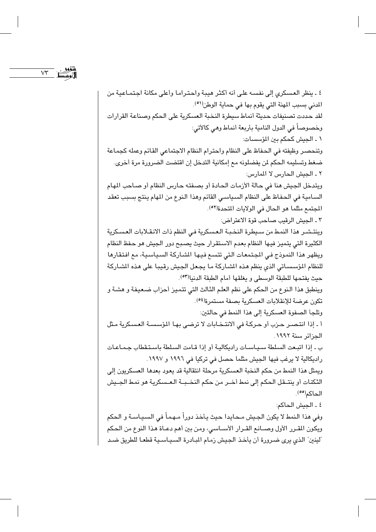$V\Upsilon$ 

٤ ـ ينظر العسكري إلى نفسه على أنه أكثر هيبة واحتراما وأعلى مكانة اجتماعية من المدنى بسبب المهنة التي يقوم بها في حماية الوطن(٥١). لقد حددت تصنيفات حديثة أنماط سيطرة النخبة العسكرية على الحكم وصناعة القرارات وخصوصاً في الدول النامية بأربعة أنماط وهي كالأتي: ١ ـ الجيش كحكم بين المؤسسات: وتنحصر وظيفته في الحفاظ على النظام واحترام النظام الاجتماعي القائم وعمله كجماعة ضغط وتسليمه الحكم لن يفضلونه مع إمكانية التدخل إن اقتضت الضرورة مرة أخرى. ٢ ـ الجيش الحارس لا المارس: ويتدخل الجيش هنا في حالة الأزمات الحادة أو بصفته حارس النظام أو صاحب المهام السـامية في الـحفـاظ على النظام السـياسـي القائم وهذا الـنوع من المهام يـنتج بسبب تعقد المجتمع مثلما هو الحال في الولايات المتحدة(٥٢). ٢ ـ الجيش الرقيب صاحب قوة الاعتراض: وينتشير هذا النمط من سيطرة النخبة العسكرية في النظم ذات الانقـلابات العسكرية الكثيرة التي يتميز فيها النظام بعدم الاستقرار حيث يصبح دور الجيش هو حفظ النظام ويظهر هذا النموذج في المجتمعات التي تتسع فيها الشاركة السياسية، مع افتقارها للنظام المؤسساتي الذي ينظم هذه الشاركة ما يجعل الجيش رقيبا على هذه الشاركة حيث يفتحها للطبقة الوسطى و يغلقها أمام الطبقة الدنيا(٥٣). وينطبق هذا النوع من الحكم على نظم العلم الثالث التي تتميز أحزاب ضعيفة و هشـة و تكون عرضة للإنقلابات العسكرية بصفة مستمرة<sup>(٥٤)</sup>. وتلجأ الصفوة العسكرية إلى هذا النمط في حالتين: أ ـ إذا انتصـر حـزب أو حـركـة في الانتـخـابات لا ترضـى بهـا الـؤسسـة العسـكرية مـثل الحزائر سنة ١٩٩٢. ب ـ إذا اتبعت السلطة سيـاسـات راديكاليـة أو إذا قـامت السلطة باسـتـقطاب جـمـاعـات راديكالية لا يرغب فيها الجيش مثلما حصل في تركيا في ١٩٩٦ و ١٩٩٧. ويمثل هذا النمط من حكم النخبة العسكرية مرحلة انتقالية قد يعود بعدها العسكريون إلى الثكنات أو ينتـقل الحكم إلى نمط أخـر من حكم النخـبـة الـعـسكرية هو نمط الجـيش الحاكم(°°). ٤ ـ الحش الحاكم: وفي هذا النمط لا يكون الجيش محايدا حيث يأخذ دوراً مـهـمـاً في السـيـاسـة و الحكم ويكون المقرر الأول وصـانع القـرار الأسـاسي، ومن بين أهم دعـاة هذا النوع من الحكم "لينين" الذي يرى ضرورة أن يأخذ الجيش زمام المبادرة السياسية قطعا للطريق ضد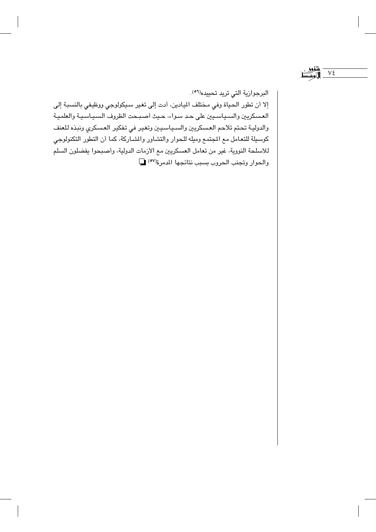$V\zeta$ 

البرجوازية التي تريد تحييده<sup>(٥٦)</sup>.

إلا أن تطور الحياة وفي مختلف الميادين، أدت إلى تغير سيكولوجي ووظيفي بالنسبة إلى العسكريين والسـياسـيين على حـد سـواء، حـيث أصـبـحت الظروف السـيـاسـيـة والعلميـة والدولية تحتم تلاحم العسكريين والسـياسيين وتغير في تفكير العسكري ونبذه للعنف كوسيلة للتعامل مع المجتمع وميله للحوار والتشاور والمشاركة، كما أن التطور التكنولوجي للأسلحة النووية، غير من تعامل العسكريين مع الأزمات الدولية، وأصبحوا يفضلون السلم والحوار وتجنب الحروب بسبب نتائجها المدرة(٥٧)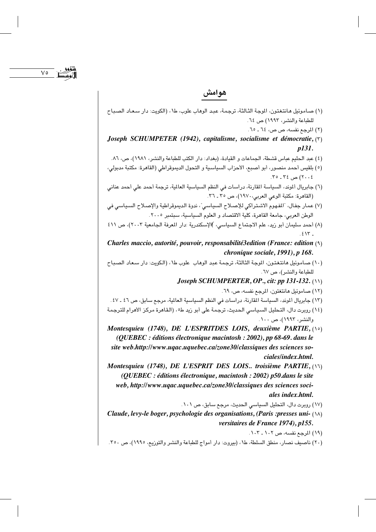$\vee$ 

## هوامش

- (١) صـاموئيل هـانتغتون، الموجة الثـالثة، ترجمة، عبد الوهاب علوب، ط١، (الكويت: دار سـعـاد الصـبـاح للطباعة والنشر، ١٩٩٣) ص ٢٤.
	- (٢) المرجع نفسه، ص ص، ٦٤ ـ ٦٥.
- Joseph SCHUMPETER (1942), capitalisme, socialisme et démocratie,  $(5)$  $p131.$
- (٤) عبد الحليم عباس قشطة، الجماعات و القيادة، (بغداد: دار الكتب للطباعة والنشر، ١٩٨١)، ص، ٨٦.
- (٥) بلقيس أحمد منصور، أبو أصبع، الأحزاب السياسية و التحول الديموقراطي (القاهرة: مكتبة مدبولي،  $\mathcal{M} \circ \mathcal{M}$ ی ۲٤ ـ ۲٥.
- (٦) جابريال ألموند، السياسة المقارنة، دراسات في النظم السياسية العالية، ترجمة أحمد على أحمد عناني (القاهرة: مكتبة الوعي العربي،١٩٧٠)، ص ٣٥ ـ ٣٦.
- (٧) عمار جفال، "المفهوم الاشتراكي للإصلاح السياسي"، ندوة الديموقراطية والإصلاح السياسي في الوطن العربي، جامعة القاهرة، كلية الاقتصاد و العلوم السياسية، سبتمبر ٢٠٠٥.
- (٨) أحمد سليمان أبو زيد، علم الاجتماع السياسي، )الإسكندرية :دار المعرفة الجامعية ٢٠٠٣)، ص ٤١١  $.515$
- Charles maccio, autorité, pouvoir, responsabilité3edition (France: edition  $(3)$ chronique sociale, 1991), p 168.
- (١٠) صـاموئيل هانتغتون، الموجة الثالثة، ترجمة عبد الوهاب علوب ط١، (الكويت: دار سـعاد الصـبـاح للطباعة والنشر)، ص ٦٧.
	- Joseph SCHUMPERTER, OP., cit: pp 131-132. (11)
		- (١٢) صاموئيل هانتغتون، المرجع نفسه، ص، ٦٩.
- (١٣) جابريال ألموند، السياسة المقارنة، دراسات في النظم السياسية العالية، مرجع سابق، ص ٤٦ ـ ٤٧.
- (١٤) روبرت دال، التحليل السياسي الحديث، ترجمة على أبو زيد ط٥، (القاهرة مركز الأهرام للترجمة والنشر، ۱۹۹۳)، ص ۱۰۰.
- Montesquieu (1748), DE L'ESPRITDES LOIS, deuxième PARTIE, (10) (QUEBEC : éditions électronique macintosh : 2002), pp 68-69. dans le site web.http://www.uqac.uquebec.ca/zone30/classiques des sciences sociales/index.html.
- Montesquieu (1748), DE L'ESPRIT DES LOIS.. troisième PARTIE, (17) (QUEBEC : éditions électronique, macintosh : 2002) p50.dans le site web, http://www.ugac.uguebec.ca/zone30/classigues des sciences sociales index.html.
	- (١٧) روبرت دال، التحليل السياسي الحديث، مرجع سابق، ص ١٠١.
- Claude, levy-le boger, psychologie des organisations, (Paris : presses uni- (14) versitaires de France 1974), p155.
	- (١٩) المرجع نفسه، ص ١٠٢ ـ ١٠٣.
- (٢٠) ناصيف نصار، منطق السلطة، ط١، (بيروت: دار أمواج للطباعة والنشر والتوزيع، ١٩٩٥)، ص ٣٥٠.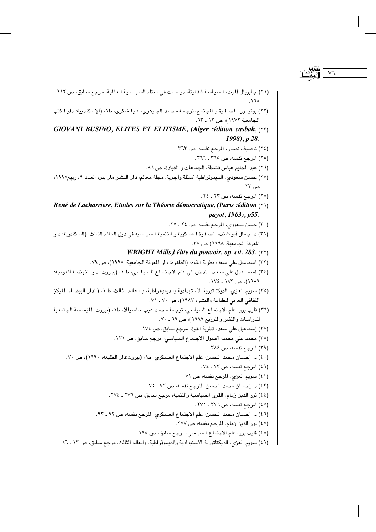- (٢١) جابريال ألموند، السياسة المقارنة، دراسات في النظم السياسية العالمية، مرجع سابق، ص ١٦٢ ـ  $\Lambda$
- (٢٢) بوتومور، الصـفوة و المجتمع، ترجمـة مـحمد الجـوهري، عليـا شكري، ط١، (الإسكندرية: دار الكتب الجامعية ١٩٧٢)، ص ٦٢ ـ ٦٣.
- GIOVANI BUSINO, ELITES ET ELITISME, (Alger :édition casbah, (YY) 1998), p 28.
	- (٢٤) ناصيف نصار، المرجع نفسه، ص ٣٦٣.
		- (٢٥) المرجع نفسه، ص ٢٦٥ ـ ٣٦٦.
	- (٢٦) عبد الحليم عباس قشطة، الجماعات و القيادة، ص ٨٦.
- (٢٧) حسن سعودي، الديموقراطية أسئلة وأجوبة، مجلة معالم، دار النشر مار ينو، العدد ٩، ربيع١٩٩٧، ص ٢٣.
	- (٢٨) المرجع نفسه، ص ٢٢ ـ ٢٤.
- René de Lacharriere, Etudes sur la Théorie démocratique, (Paris :édition (٢٩) payot, 1963), p55.
	- (٣٠) حسن سعودي، المرجع نفسه، ص ٢٤ ـ ٢٥.
- (٣١) د. جمال أبو شنب، الصفوة العسكرية و التنمية السياسية في دول العالم الثالث، (السكندرية: دار المعرفة الجامعية، ١٩٩٨) ص ٣٧.
	- WRIGHT Mills, l'élite du pouvoir, op. cit. 283. (٢٢)
	- (٣٣) اسماعيل على سعد، نظرية القوة، (القاهرة: دار المعرفة الجامعية، ١٩٩٨)، ص ٧٩.
- (٣٤) اسماعيل على سعد، المدخل إلى علم الاجتماع السياسي، ط١، (بيروت: دار النهضة العربية: ١٩٨٩)، ص ١٧٣ ـ ١٧٤.
- (٣٥) سويم العزي، الديكتاتورية الأستبدادية والديموقراطية، و العالم الثالث، ط ١، (الدار البيضاء: المركز الثقافي العربي للطباعة والنشر، ١٩٨٧)، ص ٧٠ ـ ٧١.
- (٢٦) فليب برو، علم الاجتماع السياسي، ترجمة محمد عرب ساسيللا، ط١، (بيروت: المؤسسة الجامعية للدراسات والنشر والتوزيع ١٩٩٨)، ص ٦٩ ـ ٧٠ .
	- (٣٧) إسماعيل على سعد، نظرية القوة، مرجع سابق، ص ١٧٤.
	- (٣٨) محمد علي محمد، أصول الاجتماع السياسي، مرجع سابق، ص ٢٣١.
		- (٣٩) المرجع نفسه، ص ٢٨٤.
	- (٤٠) د. إحسان محمد الحسن، علم الاجتماع العسكري، ط١، (بيروت:دار الطليعة، ١٩٩٠)، ص ٧٠.
		- (٤١) المرجع نفسه، ص ٧٣ ـ ٧٤.
		- (٤٢) سويم العزى، المرجع نفسه، ص ٧١.
		- (٤٣) د. إحسان محمد الحسن، المرجع نفسه، ص ٧٣ ـ ٧٥.
		- (٤٤) نور الدين زمام، القوى السياسية والتنمية، مرجع سابق، ص ٢٧٦ ـ ٢٧٤.
			- (٤٥) المرجع نفسه، ص ٢٧٦ ـ ٢٧٥.
		- (٤٦) د. إحسان محمد الحسن، علم الاجتماع العسكري، المرجع نفسه، ص ٩٢ ـ ٩٣.
			- (٤٧) نور الدين زمام، المرجع نفسه، ص ٢٧٧.
			- (٤٨) فليب برو، علم الاجتماع السياسي، مرجع سابق، ص ١٩٥.
	- (٤٩) سويم العزى، الديكتاتورية الأستبدادية والديموقراطية، والعالم الثالث، مرجع سابق، ص ١٣ ـ ١٦.